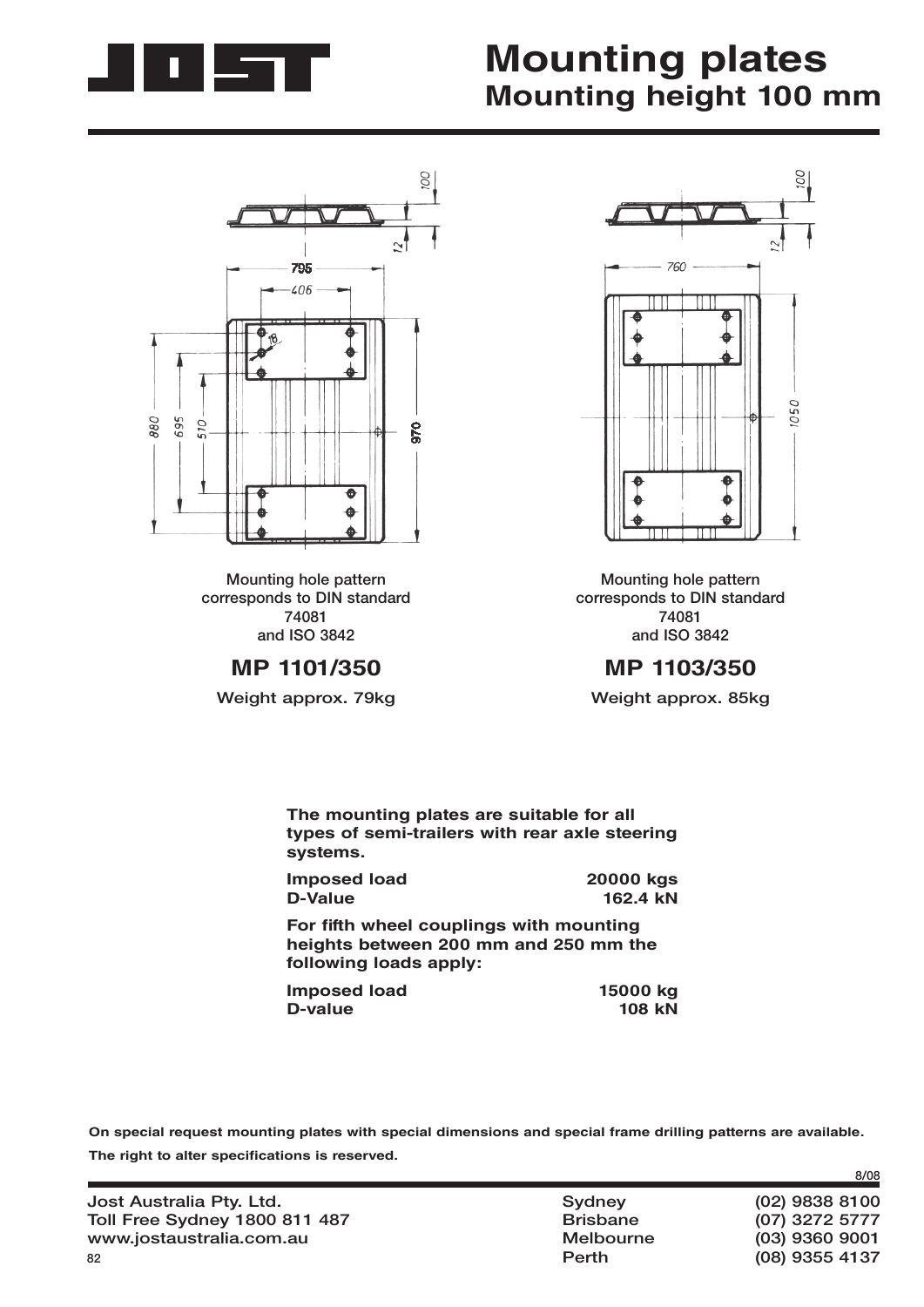

## **Mounting plates Mounting height 100 mm**



**Mounting hole pattern corresponds to DIN standard 74081 and ISO 3842**

**MP 1103/350**

**Weight approx. 85kg**



**Mounting hole pattern corresponds to DIN standard 74081 and ISO 3842** 

**MP 1101/350**

**Weight approx. 79kg**

| The mounting plates are suitable for all<br>types of semi-trailers with rear axle steering<br>systems. |           |
|--------------------------------------------------------------------------------------------------------|-----------|
| <b>Imposed load</b>                                                                                    | 20000 kgs |
| D-Value                                                                                                | 162.4 kN  |
| For fifth wheel couplings with mounting<br>heights between 200 mm and 250 mm the                       |           |

**heights between 200 mm and 250 mm the following loads apply:**

| Imposed load | 15000 kg      |
|--------------|---------------|
| D-value      | <b>108 kN</b> |

**On special request mounting plates with special dimensions and special frame drilling patterns are available.** The right to alter specifications is reserved.

|                                      |                 | 8/08             |
|--------------------------------------|-----------------|------------------|
| Jost Australia Pty. Ltd.             | Sydney          | $(02)$ 9838 8100 |
| <b>Toll Free Sydney 1800 811 487</b> | <b>Brisbane</b> | (07) 3272 5777   |
| www.jostaustralia.com.au             | Melbourne       | $(03)$ 9360 9001 |
| 82                                   | Perth           | (08) 9355 4137   |